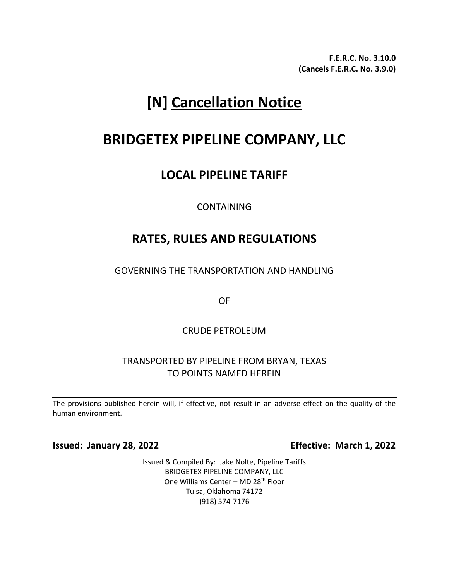**F.E.R.C. No. 3.10.0 (Cancels F.E.R.C. No. 3.9.0)**

# **[N] Cancellation Notice**

# **BRIDGETEX PIPELINE COMPANY, LLC**

### **LOCAL PIPELINE TARIFF**

CONTAINING

## **RATES, RULES AND REGULATIONS**

GOVERNING THE TRANSPORTATION AND HANDLING

OF

CRUDE PETROLEUM

### TRANSPORTED BY PIPELINE FROM BRYAN, TEXAS TO POINTS NAMED HEREIN

The provisions published herein will, if effective, not result in an adverse effect on the quality of the human environment.

**Issued: January 28, 2022 Effective: March 1, 2022**

Issued & Compiled By: Jake Nolte, Pipeline Tariffs BRIDGETEX PIPELINE COMPANY, LLC One Williams Center – MD 28th Floor Tulsa, Oklahoma 74172 (918) 574-7176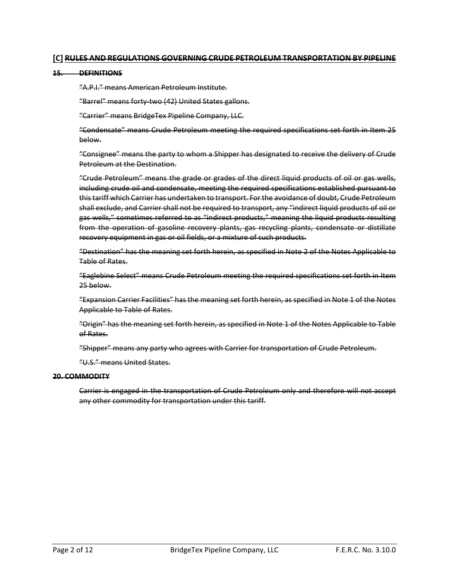#### **[C] RULES AND REGULATIONS GOVERNING CRUDE PETROLEUM TRANSPORTATION BY PIPELINE**

#### **15. DEFINITIONS**

"A.P.I." means American Petroleum Institute.

"Barrel" means forty-two (42) United States gallons.

"Carrier" means BridgeTex Pipeline Company, LLC.

"Condensate" means Crude Petroleum meeting the required specifications set forth in Item 25 below.

"Consignee" means the party to whom a Shipper has designated to receive the delivery of Crude Petroleum at the Destination.

"Crude Petroleum" means the grade or grades of the direct liquid products of oil or gas wells, including crude oil and condensate, meeting the required specifications established pursuant to this tariff which Carrier has undertaken to transport. For the avoidance of doubt, Crude Petroleum shall exclude, and Carrier shall not be required to transport, any "indirect liquid products of oil or gas wells," sometimes referred to as "indirect products," meaning the liquid products resulting from the operation of gasoline recovery plants, gas recycling plants, condensate or distillate recovery equipment in gas or oil fields, or a mixture of such products.

"Destination" has the meaning set forth herein, as specified in Note 2 of the Notes Applicable to Table of Rates.

"Eaglebine Select" means Crude Petroleum meeting the required specifications set forth in Item 25 below.

"Expansion Carrier Facilities" has the meaning set forth herein, as specified in Note 1 of the Notes Applicable to Table of Rates.

"Origin" has the meaning set forth herein, as specified in Note 1 of the Notes Applicable to Table of Rates.

"Shipper" means any party who agrees with Carrier for transportation of Crude Petroleum.

"U.S." means United States.

#### **20. COMMODITY**

Carrier is engaged in the transportation of Crude Petroleum only and therefore will not accept any other commodity for transportation under this tariff.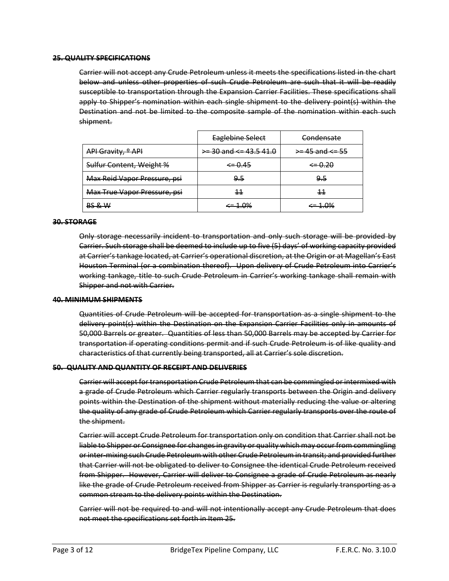#### **25. QUALITY SPECIFICATIONS**

Carrier will not accept any Crude Petroleum unless it meets the specifications listed in the chart below and unless other properties of such Crude Petroleum are such that it will be readily susceptible to transportation through the Expansion Carrier Facilities. These specifications shall apply to Shipper's nomination within each single shipment to the delivery point(s) within the Destination and not be limited to the composite sample of the nomination within each such shipment.

|                               | Eaglebine Select             | Condensate              |
|-------------------------------|------------------------------|-------------------------|
| API Gravity, <sup>o</sup> API | $\ge$ 30 and $\le$ 43.5 41.0 | $\ge$ -45 and $\le$ -55 |
| Sulfur Content, Weight %      | $\xi = 0.45$                 | $\xi = 0.20$            |
| Max Reid Vapor Pressure, psi  | جو                           | 9.5                     |
| Max True Vapor Pressure, psi  | 11                           | 11                      |
| BS & W                        | <del>∶= 1.0%</del>           | <del>∶= 1.0%</del>      |

#### **30. STORAGE**

Only storage necessarily incident to transportation and only such storage will be provided by Carrier. Such storage shall be deemed to include up to five (5) days' of working capacity provided at Carrier's tankage located, at Carrier's operational discretion, at the Origin or at Magellan's East Houston Terminal (or a combination thereof). Upon delivery of Crude Petroleum into Carrier's working tankage, title to such Crude Petroleum in Carrier's working tankage shall remain with Shipper and not with Carrier.

#### **40. MINIMUM SHIPMENTS**

Quantities of Crude Petroleum will be accepted for transportation as a single shipment to the delivery point(s) within the Destination on the Expansion Carrier Facilities only in amounts of 50,000 Barrels or greater. Quantities of less than 50,000 Barrels may be accepted by Carrier for transportation if operating conditions permit and if such Crude Petroleum is of like quality and characteristics of that currently being transported, all at Carrier's sole discretion.

#### **50. QUALITY AND QUANTITY OF RECEIPT AND DELIVERIES**

Carrier will accept for transportation Crude Petroleum that can be commingled or intermixed with a grade of Crude Petroleum which Carrier regularly transports between the Origin and delivery points within the Destination of the shipment without materially reducing the value or altering the quality of any grade of Crude Petroleum which Carrier regularly transports over the route of the shipment.

Carrier will accept Crude Petroleum for transportation only on condition that Carrier shall not be liable to Shipper or Consignee for changes in gravity or quality which may occur from commingling or inter-mixing such Crude Petroleum with other Crude Petroleum in transit; and provided further that Carrier will not be obligated to deliver to Consignee the identical Crude Petroleum received from Shipper. However, Carrier will deliver to Consignee a grade of Crude Petroleum as nearly like the grade of Crude Petroleum received from Shipper as Carrier is regularly transporting as a common stream to the delivery points within the Destination.

Carrier will not be required to and will not intentionally accept any Crude Petroleum that does not meet the specifications set forth in Item 25.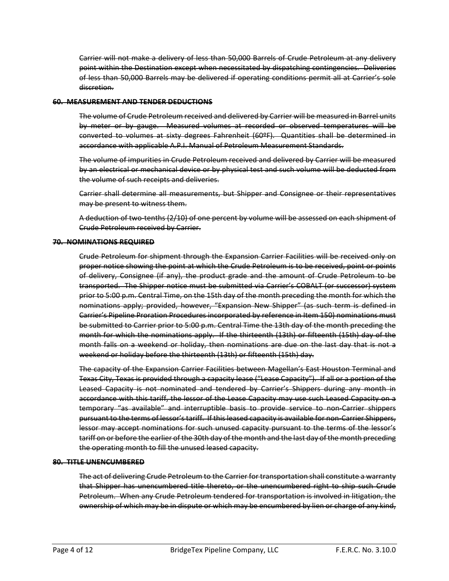Carrier will not make a delivery of less than 50,000 Barrels of Crude Petroleum at any delivery point within the Destination except when necessitated by dispatching contingencies. Deliveries of less than 50,000 Barrels may be delivered if operating conditions permit all at Carrier's sole discretion.

#### **60. MEASUREMENT AND TENDER DEDUCTIONS**

The volume of Crude Petroleum received and delivered by Carrier will be measured in Barrel units by meter or by gauge. Measured volumes at recorded or observed temperatures will be converted to volumes at sixty degrees Fahrenheit (60ºF). Quantities shall be determined in accordance with applicable A.P.I. Manual of Petroleum Measurement Standards.

The volume of impurities in Crude Petroleum received and delivered by Carrier will be measured by an electrical or mechanical device or by physical test and such volume will be deducted from the volume of such receipts and deliveries.

Carrier shall determine all measurements, but Shipper and Consignee or their representatives may be present to witness them.

A deduction of two-tenths (2/10) of one percent by volume will be assessed on each shipment of Crude Petroleum received by Carrier.

#### **70. NOMINATIONS REQUIRED**

Crude Petroleum for shipment through the Expansion Carrier Facilities will be received only on proper notice showing the point at which the Crude Petroleum is to be received, point or points of delivery, Consignee (if any), the product grade and the amount of Crude Petroleum to be transported. The Shipper notice must be submitted via Carrier's COBALT (or successor) system prior to 5:00 p.m. Central Time, on the 15th day of the month preceding the month for which the nominations apply; provided, however, "Expansion New Shipper" (as such term is defined in Carrier's Pipeline Proration Procedures incorporated by reference in Item 150) nominations must be submitted to Carrier prior to 5:00 p.m. Central Time the 13th day of the month preceding the month for which the nominations apply. If the thirteenth (13th) or fifteenth (15th) day of the month falls on a weekend or holiday, then nominations are due on the last day that is not a weekend or holiday before the thirteenth (13th) or fifteenth (15th) day.

The capacity of the Expansion Carrier Facilities between Magellan's East Houston Terminal and Texas City, Texas is provided through a capacity lease ("Lease Capacity"). If all or a portion of the Leased Capacity is not nominated and tendered by Carrier's Shippers during any month in accordance with this tariff, the lessor of the Lease Capacity may use such Leased Capacity on a temporary "as available" and interruptible basis to provide service to non-Carrier shippers pursuant to the terms of lessor's tariff. If this leased capacity is available for non-Carrier Shippers, lessor may accept nominations for such unused capacity pursuant to the terms of the lessor's tariff on or before the earlier of the 30th day of the month and the last day of the month preceding the operating month to fill the unused leased capacity.

#### **80. TITLE UNENCUMBERED**

The act of delivering Crude Petroleum to the Carrier for transportation shall constitute a warranty that Shipper has unencumbered title thereto, or the unencumbered right to ship such Crude Petroleum. When any Crude Petroleum tendered for transportation is involved in litigation, the ownership of which may be in dispute or which may be encumbered by lien or charge of any kind,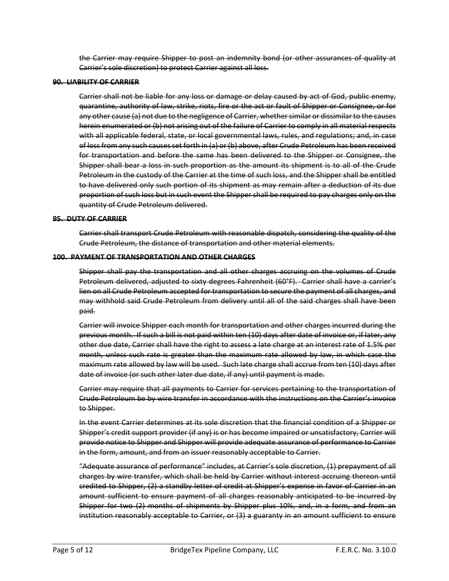the Carrier may require Shipper to post an indemnity bond (or other assurances of quality at Carrier's sole discretion) to protect Carrier against all loss.

#### **90. LIABILITY OF CARRIER**

Carrier shall not be liable for any loss or damage or delay caused by act of God, public enemy, quarantine, authority of law, strike, riots, fire or the act or fault of Shipper or Consignee, or for any other cause (a) not due to the negligence of Carrier, whether similar or dissimilar to the causes herein enumerated or (b) not arising out of the failure of Carrier to comply in all material respects with all applicable federal, state, or local governmental laws, rules, and regulations; and, in case of loss from any such causes set forth in (a) or (b) above, after Crude Petroleum has been received for transportation and before the same has been delivered to the Shipper or Consignee, the Shipper shall bear a loss in such proportion as the amount its shipment is to all of the Crude Petroleum in the custody of the Carrier at the time of such loss, and the Shipper shall be entitled to have delivered only such portion of its shipment as may remain after a deduction of its due proportion of such loss but in such event the Shipper shall be required to pay charges only on the quantity of Crude Petroleum delivered.

#### **95. DUTY OF CARRIER**

Carrier shall transport Crude Petroleum with reasonable dispatch, considering the quality of the Crude Petroleum, the distance of transportation and other material elements.

#### **100. PAYMENT OF TRANSPORTATION AND OTHER CHARGES**

Shipper shall pay the transportation and all other charges accruing on the volumes of Crude Petroleum delivered, adjusted to sixty degrees Fahrenheit (60°F). Carrier shall have a carrier's lien on all Crude Petroleum accepted for transportation to secure the payment of all charges, and may withhold said Crude Petroleum from delivery until all of the said charges shall have been paid.

Carrier will invoice Shipper each month for transportation and other charges incurred during the previous month. If such a bill is not paid within ten (10) days after date of invoice or, if later, any other due date, Carrier shall have the right to assess a late charge at an interest rate of 1.5% per month, unless such rate is greater than the maximum rate allowed by law, in which case the maximum rate allowed by law will be used. Such late charge shall accrue from ten (10) days after date of invoice (or such other later due date, if any) until payment is made.

Carrier may require that all payments to Carrier for services pertaining to the transportation of Crude Petroleum be by wire transfer in accordance with the instructions on the Carrier's invoice to Shipper.

In the event Carrier determines at its sole discretion that the financial condition of a Shipper or Shipper's credit support provider (if any) is or has become impaired or unsatisfactory, Carrier will provide notice to Shipper and Shipper will provide adequate assurance of performance to Carrier in the form, amount, and from an issuer reasonably acceptable to Carrier.

"Adequate assurance of performance" includes, at Carrier's sole discretion, (1) prepayment of all charges by wire transfer, which shall be held by Carrier without interest accruing thereon until credited to Shipper, (2) a standby letter of credit at Shipper's expense in favor of Carrier in an amount sufficient to ensure payment of all charges reasonably anticipated to be incurred by Shipper for two (2) months of shipments by Shipper plus 10%, and, in a form, and from an institution reasonably acceptable to Carrier, or (3) a guaranty in an amount sufficient to ensure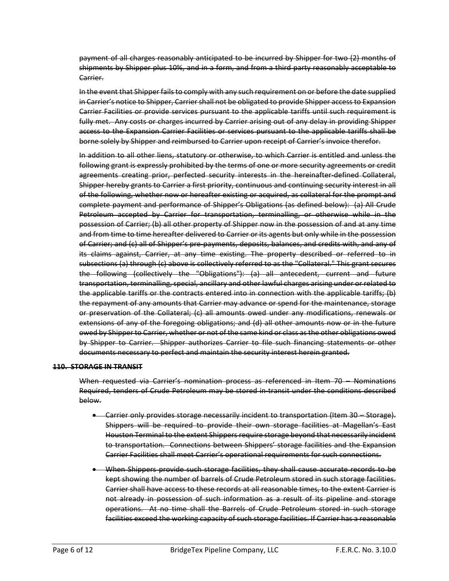payment of all charges reasonably anticipated to be incurred by Shipper for two (2) months of shipments by Shipper plus 10%, and in a form, and from a third party reasonably acceptable to Carrier.

In the event that Shipper fails to comply with any such requirement on or before the date supplied in Carrier's notice to Shipper, Carrier shall not be obligated to provide Shipper access to Expansion Carrier Facilities or provide services pursuant to the applicable tariffs until such requirement is fully met. Any costs or charges incurred by Carrier arising out of any delay in providing Shipper access to the Expansion Carrier Facilities or services pursuant to the applicable tariffs shall be borne solely by Shipper and reimbursed to Carrier upon receipt of Carrier's invoice therefor.

In addition to all other liens, statutory or otherwise, to which Carrier is entitled and unless the following grant is expressly prohibited by the terms of one or more security agreements or credit agreements creating prior, perfected security interests in the hereinafter-defined Collateral, Shipper hereby grants to Carrier a first priority, continuous and continuing security interest in all of the following, whether now or hereafter existing or acquired, as collateral for the prompt and complete payment and performance of Shipper's Obligations (as defined below): (a) All Crude Petroleum accepted by Carrier for transportation, terminalling, or otherwise while in the possession of Carrier; (b) all other property of Shipper now in the possession of and at any time and from time to time hereafter delivered to Carrier or its agents but only while in the possession of Carrier; and (c) all of Shipper's pre-payments, deposits, balances, and credits with, and any of its claims against, Carrier, at any time existing. The property described or referred to in subsections (a) through (c) above is collectively referred to as the "Collateral." This grant secures the following (collectively the "Obligations"): (a) all antecedent, current and future transportation, terminalling, special, ancillary and other lawful charges arising under or related to the applicable tariffs or the contracts entered into in connection with the applicable tariffs; (b) the repayment of any amounts that Carrier may advance or spend for the maintenance, storage or preservation of the Collateral; (c) all amounts owed under any modifications, renewals or extensions of any of the foregoing obligations; and (d) all other amounts now or in the future owed by Shipper to Carrier, whether or not of the same kind or class as the other obligations owed by Shipper to Carrier. Shipper authorizes Carrier to file such financing statements or other documents necessary to perfect and maintain the security interest herein granted.

#### **110. STORAGE IN TRANSIT**

When requested via Carrier's nomination process as referenced in Item 70 – Nominations Required, tenders of Crude Petroleum may be stored in-transit under the conditions described below.

- Carrier only provides storage necessarily incident to transportation (Item 30 Storage). Shippers will be required to provide their own storage facilities at Magellan's East Houston Terminal to the extent Shippers require storage beyond that necessarily incident to transportation. Connections between Shippers' storage facilities and the Expansion Carrier Facilities shall meet Carrier's operational requirements for such connections.
- When Shippers provide such storage facilities, they shall cause accurate records to be kept showing the number of barrels of Crude Petroleum stored in such storage facilities. Carrier shall have access to these records at all reasonable times, to the extent Carrier is not already in possession of such information as a result of its pipeline and storage operations. At no time shall the Barrels of Crude Petroleum stored in such storage facilities exceed the working capacity of such storage facilities. If Carrier has a reasonable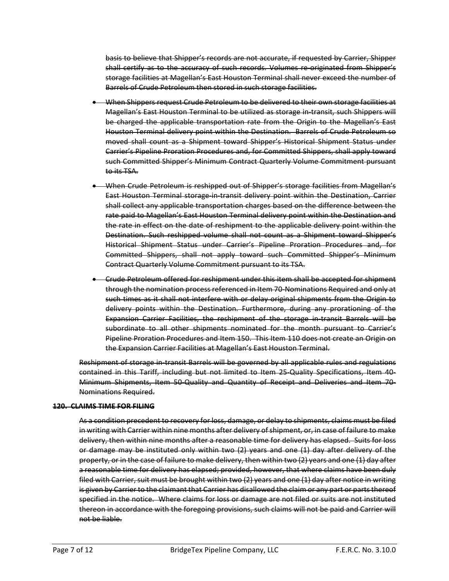basis to believe that Shipper's records are not accurate, if requested by Carrier, Shipper shall certify as to the accuracy of such records. Volumes re-originated from Shipper's storage facilities at Magellan's East Houston Terminal shall never exceed the number of Barrels of Crude Petroleum then stored in such storage facilities.

- When Shippers request Crude Petroleum to be delivered to their own storage facilities at Magellan's East Houston Terminal to be utilized as storage in-transit, such Shippers will be charged the applicable transportation rate from the Origin to the Magellan's East Houston Terminal delivery point within the Destination. Barrels of Crude Petroleum so moved shall count as a Shipment toward Shipper's Historical Shipment Status under Carrier's Pipeline Proration Procedures and, for Committed Shippers, shall apply toward such Committed Shipper's Minimum Contract Quarterly Volume Commitment pursuant to its TSA.
- When Crude Petroleum is reshipped out of Shipper's storage facilities from Magellan's East Houston Terminal storage-in-transit delivery point within the Destination, Carrier shall collect any applicable transportation charges based on the difference between the rate paid to Magellan's East Houston Terminal delivery point within the Destination and the rate in effect on the date of reshipment to the applicable delivery point within the Destination. Such reshipped volume shall not count as a Shipment toward Shipper's Historical Shipment Status under Carrier's Pipeline Proration Procedures and, for Committed Shippers, shall not apply toward such Committed Shipper's Minimum Contract Quarterly Volume Commitment pursuant to its TSA.
- Crude Petroleum offered for reshipment under this item shall be accepted for shipment through the nomination process referenced in Item 70-Nominations Required and only at such times as it shall not interfere with or delay original shipments from the Origin to delivery points within the Destination. Furthermore, during any prorationing of the Expansion Carrier Facilities, the reshipment of the storage in-transit Barrels will be subordinate to all other shipments nominated for the month pursuant to Carrier's Pipeline Proration Procedures and Item 150. This Item 110 does not create an Origin on the Expansion Carrier Facilities at Magellan's East Houston Terminal.

Reshipment of storage in-transit Barrels will be governed by all applicable rules and regulations contained in this Tariff, including but not limited to Item 25-Quality Specifications, Item 40- Minimum Shipments, Item 50-Quality and Quantity of Receipt and Deliveries and Item 70- Nominations Required.

#### **120. CLAIMS TIME FOR FILING**

As a condition precedent to recovery for loss, damage, or delay to shipments, claims must be filed in writing with Carrier within nine months after delivery of shipment, or, in case of failure to make delivery, then within nine months after a reasonable time for delivery has elapsed. Suits for loss or damage may be instituted only within two (2) years and one (1) day after delivery of the property, or in the case of failure to make delivery, then within two (2) years and one (1) day after a reasonable time for delivery has elapsed; provided, however, that where claims have been duly filed with Carrier, suit must be brought within two (2) years and one (1) day after notice in writing is given by Carrier to the claimant that Carrier has disallowed the claim or any part or parts thereof specified in the notice. Where claims for loss or damage are not filed or suits are not instituted thereon in accordance with the foregoing provisions, such claims will not be paid and Carrier will not be liable.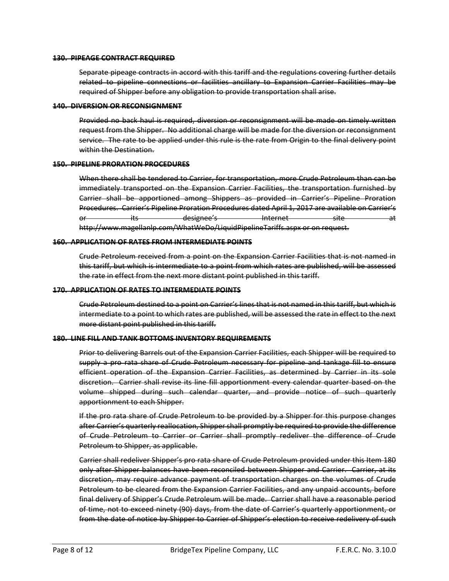#### **130. PIPEAGE CONTRACT REQUIRED**

Separate pipeage contracts in accord with this tariff and the regulations covering further details related to pipeline connections or facilities ancillary to Expansion Carrier Facilities may be required of Shipper before any obligation to provide transportation shall arise.

#### **140. DIVERSION OR RECONSIGNMENT**

Provided no back haul is required, diversion or reconsignment will be made on timely written request from the Shipper. No additional charge will be made for the diversion or reconsignment service. The rate to be applied under this rule is the rate from Origin to the final delivery point within the Destination.

#### **150. PIPELINE PRORATION PROCEDURES**

When there shall be tendered to Carrier, for transportation, more Crude Petroleum than can be immediately transported on the Expansion Carrier Facilities, the transportation furnished by Carrier shall be apportioned among Shippers as provided in Carrier's Pipeline Proration Procedures. Carrier's Pipeline Proration Procedures dated April 1, 2017 are available on Carrier's or its designee's Internet site site at http://www.magellanlp.com/WhatWeDo/LiquidPipelineTariffs.aspx or on request.

#### **160. APPLICATION OF RATES FROM INTERMEDIATE POINTS**

Crude Petroleum received from a point on the Expansion Carrier Facilities that is not named in this tariff, but which is intermediate to a point from which rates are published, will be assessed the rate in effect from the next more distant point published in this tariff.

#### **170. APPLICATION OF RATES TO INTERMEDIATE POINTS**

Crude Petroleum destined to a point on Carrier's lines that is not named in this tariff, but which is intermediate to a point to which rates are published, will be assessed the rate in effect to the next more distant point published in this tariff.

#### **180. LINE FILL AND TANK BOTTOMS INVENTORY REQUIREMENTS**

Prior to delivering Barrels out of the Expansion Carrier Facilities, each Shipper will be required to supply a pro rata share of Crude Petroleum necessary for pipeline and tankage fill to ensure efficient operation of the Expansion Carrier Facilities, as determined by Carrier in its sole discretion. Carrier shall revise its line fill apportionment every calendar quarter based on the volume shipped during such calendar quarter, and provide notice of such quarterly apportionment to each Shipper.

If the pro rata share of Crude Petroleum to be provided by a Shipper for this purpose changes after Carrier's quarterly reallocation, Shipper shall promptly be required to provide the difference of Crude Petroleum to Carrier or Carrier shall promptly redeliver the difference of Crude Petroleum to Shipper, as applicable.

Carrier shall redeliver Shipper's pro rata share of Crude Petroleum provided under this Item 180 only after Shipper balances have been reconciled between Shipper and Carrier. Carrier, at its discretion, may require advance payment of transportation charges on the volumes of Crude Petroleum to be cleared from the Expansion Carrier Facilities, and any unpaid accounts, before final delivery of Shipper's Crude Petroleum will be made. Carrier shall have a reasonable period of time, not to exceed ninety (90) days, from the date of Carrier's quarterly apportionment, or from the date of notice by Shipper to Carrier of Shipper's election to receive redelivery of such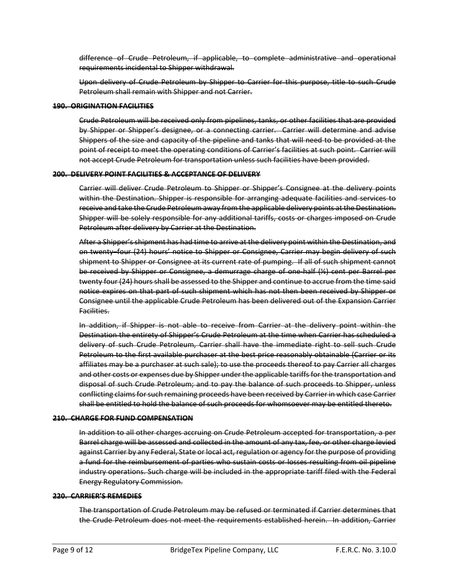difference of Crude Petroleum, if applicable, to complete administrative and operational requirements incidental to Shipper withdrawal.

Upon delivery of Crude Petroleum by Shipper to Carrier for this purpose, title to such Crude Petroleum shall remain with Shipper and not Carrier.

#### **190. ORIGINATION FACILITIES**

Crude Petroleum will be received only from pipelines, tanks, or other facilities that are provided by Shipper or Shipper's designee, or a connecting carrier. Carrier will determine and advise Shippers of the size and capacity of the pipeline and tanks that will need to be provided at the point of receipt to meet the operating conditions of Carrier's facilities at such point. Carrier will not accept Crude Petroleum for transportation unless such facilities have been provided.

#### **200. DELIVERY POINT FACILITIES & ACCEPTANCE OF DELIVERY**

Carrier will deliver Crude Petroleum to Shipper or Shipper's Consignee at the delivery points within the Destination. Shipper is responsible for arranging adequate facilities and services to receive and take the Crude Petroleum away from the applicable delivery points at the Destination. Shipper will be solely responsible for any additional tariffs, costs or charges imposed on Crude Petroleum after delivery by Carrier at the Destination.

After a Shipper's shipment has had time to arrive at the delivery point within the Destination, and on twenty–four (24) hours' notice to Shipper or Consignee, Carrier may begin delivery of such shipment to Shipper or Consignee at its current rate of pumping. If all of such shipment cannot be received by Shipper or Consignee, a demurrage charge of one-half (½) cent per Barrel per twenty four (24) hours shall be assessed to the Shipper and continue to accrue from the time said notice expires on that part of such shipment which has not then been received by Shipper or Consignee until the applicable Crude Petroleum has been delivered out of the Expansion Carrier Facilities.

In addition, if Shipper is not able to receive from Carrier at the delivery point within the Destination the entirety of Shipper's Crude Petroleum at the time when Carrier has scheduled a delivery of such Crude Petroleum, Carrier shall have the immediate right to sell such Crude Petroleum to the first available purchaser at the best price reasonably obtainable (Carrier or its affiliates may be a purchaser at such sale); to use the proceeds thereof to pay Carrier all charges and other costs or expenses due by Shipper under the applicable tariffs for the transportation and disposal of such Crude Petroleum; and to pay the balance of such proceeds to Shipper, unless conflicting claims for such remaining proceeds have been received by Carrier in which case Carrier shall be entitled to hold the balance of such proceeds for whomsoever may be entitled thereto.

#### **210. CHARGE FOR FUND COMPENSATION**

In addition to all other charges accruing on Crude Petroleum accepted for transportation, a per Barrel charge will be assessed and collected in the amount of any tax, fee, or other charge levied against Carrier by any Federal, State or local act, regulation or agency for the purpose of providing a fund for the reimbursement of parties who sustain costs or losses resulting from oil pipeline industry operations. Such charge will be included in the appropriate tariff filed with the Federal Energy Regulatory Commission.

#### **220. CARRIER'S REMEDIES**

The transportation of Crude Petroleum may be refused or terminated if Carrier determines that the Crude Petroleum does not meet the requirements established herein. In addition, Carrier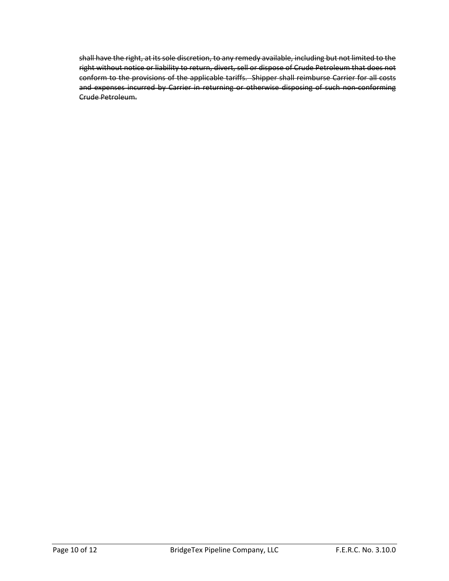shall have the right, at its sole discretion, to any remedy available, including but not limited to the right without notice or liability to return, divert, sell or dispose of Crude Petroleum that does not conform to the provisions of the applicable tariffs. Shipper shall reimburse Carrier for all costs and expenses incurred by Carrier in returning or otherwise disposing of such non-conforming Crude Petroleum.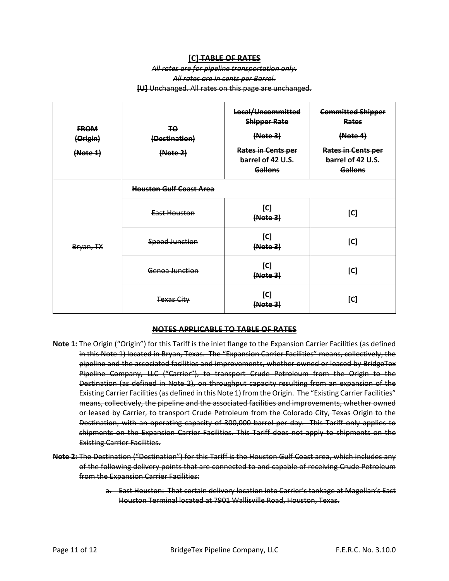#### **[C] TABLE OF RATES**

#### *All rates are for pipeline transportation only. All rates are in cents per Barrel.* **[U]** Unchanged. All rates on this page are unchanged.

| <b>FROM</b><br>(Origin)<br>(Note 1) | ŦQ.<br>(Destination)<br>(Note 2) | Local/Uncommitted<br><b>Shipper Rate</b><br>(Note3)<br><b>Rates in Cents per</b><br>barrel of 42 U.S.<br><b>Gallons</b> | <b>Committed Shipper</b><br>Rates<br>(Note4)<br><b>Rates in Cents per</b><br>barrel of 42 U.S.<br><b>Gallons</b> |  |
|-------------------------------------|----------------------------------|-------------------------------------------------------------------------------------------------------------------------|------------------------------------------------------------------------------------------------------------------|--|
|                                     | <b>Houston Gulf Coast Area</b>   |                                                                                                                         |                                                                                                                  |  |
| Bryan, TX                           | East Houston                     | [C]<br>(Mote <sub>3</sub> )                                                                                             | [C]                                                                                                              |  |
|                                     | <b>Speed Junction</b>            | [C]<br>(Note3)                                                                                                          | [C]                                                                                                              |  |
|                                     | Genoa Junction                   | [C]<br>(Note3)                                                                                                          | [C]                                                                                                              |  |
|                                     | <b>Texas City</b>                | [C]<br>(Mote <sub>3</sub> )                                                                                             | [C]                                                                                                              |  |

#### **NOTES APPLICABLE TO TABLE OF RATES**

- **Note 1:** The Origin ("Origin") for this Tariff is the inlet flange to the Expansion Carrier Facilities (as defined in this Note 1) located in Bryan, Texas. The "Expansion Carrier Facilities" means, collectively, the pipeline and the associated facilities and improvements, whether owned or leased by BridgeTex Pipeline Company, LLC ("Carrier"), to transport Crude Petroleum from the Origin to the Destination (as defined in Note 2), on throughput capacity resulting from an expansion of the Existing Carrier Facilities (as defined in this Note 1) from the Origin. The "Existing Carrier Facilities" means, collectively, the pipeline and the associated facilities and improvements, whether owned or leased by Carrier, to transport Crude Petroleum from the Colorado City, Texas Origin to the Destination, with an operating capacity of 300,000 barrel per day. This Tariff only applies to shipments on the Expansion Carrier Facilities. This Tariff does not apply to shipments on the Existing Carrier Facilities.
- **Note 2:** The Destination ("Destination") for this Tariff is the Houston Gulf Coast area, which includes any of the following delivery points that are connected to and capable of receiving Crude Petroleum from the Expansion Carrier Facilities:
	- a. East Houston: That certain delivery location into Carrier's tankage at Magellan's East Houston Terminal located at 7901 Wallisville Road, Houston, Texas.